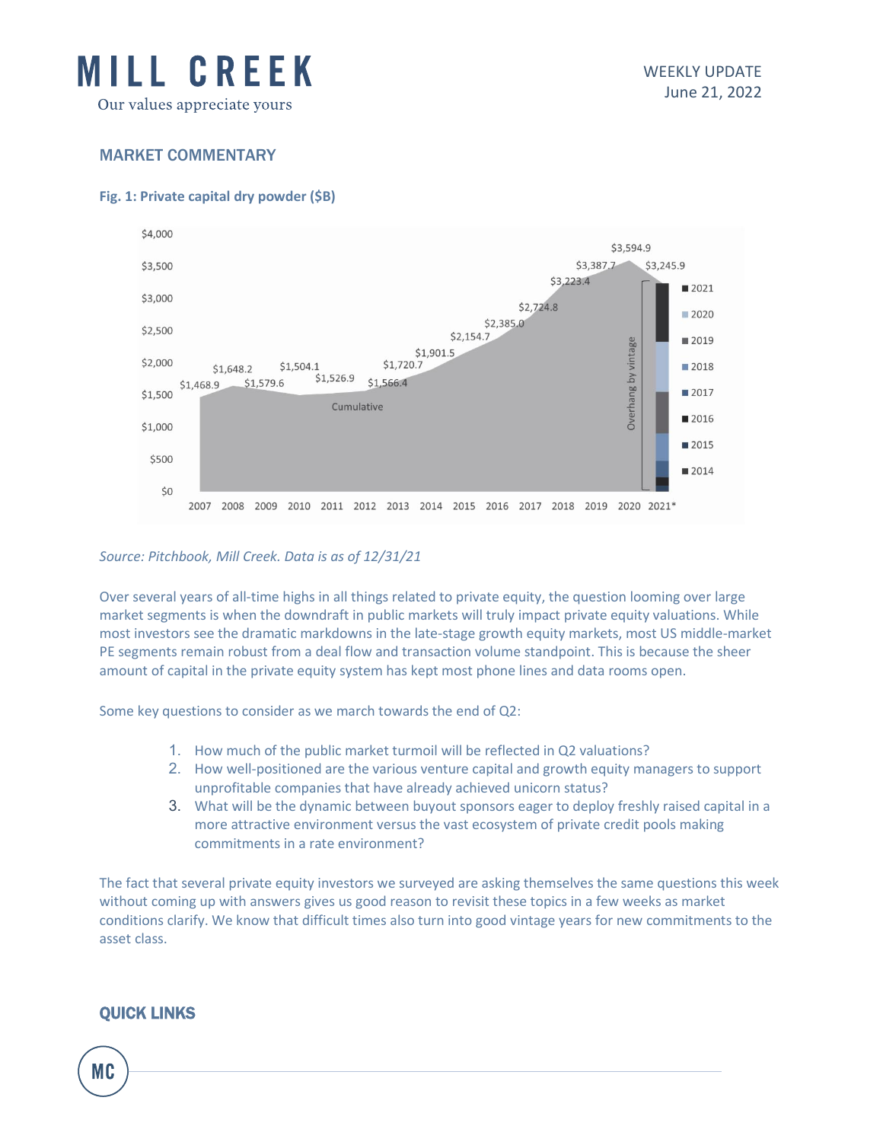

# MARKET COMMENTARY

### **Fig. 1: Private capital dry powder (\$B)**



### *Source: Pitchbook, Mill Creek. Data is as of 12/31/21*

Over several years of all-time highs in all things related to private equity, the question looming over large market segments is when the downdraft in public markets will truly impact private equity valuations. While most investors see the dramatic markdowns in the late-stage growth equity markets, most US middle-market PE segments remain robust from a deal flow and transaction volume standpoint. This is because the sheer amount of capital in the private equity system has kept most phone lines and data rooms open.

Some key questions to consider as we march towards the end of Q2:

- 1. How much of the public market turmoil will be reflected in Q2 valuations?
- 2. How well-positioned are the various venture capital and growth equity managers to support unprofitable companies that have already achieved unicorn status?
- 3. What will be the dynamic between buyout sponsors eager to deploy freshly raised capital in a more attractive environment versus the vast ecosystem of private credit pools making commitments in a rate environment?

The fact that several private equity investors we surveyed are asking themselves the same questions this week without coming up with answers gives us good reason to revisit these topics in a few weeks as market conditions clarify. We know that difficult times also turn into good vintage years for new commitments to the asset class.

## QUICK LINKS